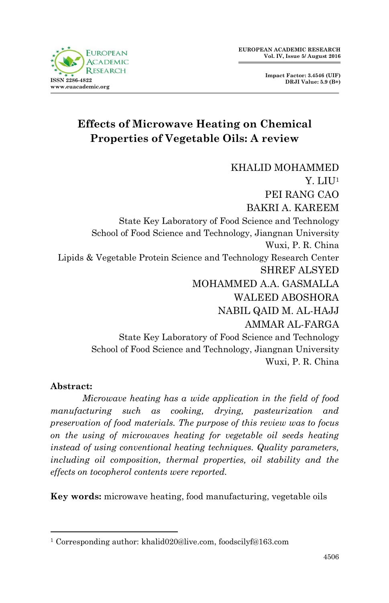

# **Effects of Microwave Heating on Chemical Properties of Vegetable Oils: A review**

KHALID MOHAMMED Y. LIU<sup>1</sup> PEI RANG CAO BAKRI A. KAREEM State Key Laboratory of Food Science and Technology School of Food Science and Technology, Jiangnan University Wuxi, P. R. China Lipids & Vegetable Protein Science and Technology Research Center SHREF ALSYED MOHAMMED A.A. GASMALLA WALEED ABOSHORA NABIL QAID M. AL-HAJJ AMMAR AL-FARGA State Key Laboratory of Food Science and Technology School of Food Science and Technology, Jiangnan University Wuxi, P. R. China

#### **Abstract:**

1

*Microwave heating has a wide application in the field of food manufacturing such as cooking, drying, pasteurization and preservation of food materials. The purpose of this review was to focus on the using of microwaves heating for vegetable oil seeds heating instead of using conventional heating techniques. Quality parameters, including oil composition, thermal properties, oil stability and the effects on tocopherol contents were reported.* 

**Key words:** microwave heating, food manufacturing, vegetable oils

<sup>1</sup> Corresponding author: khalid020@live.com, foodscilyf@163.com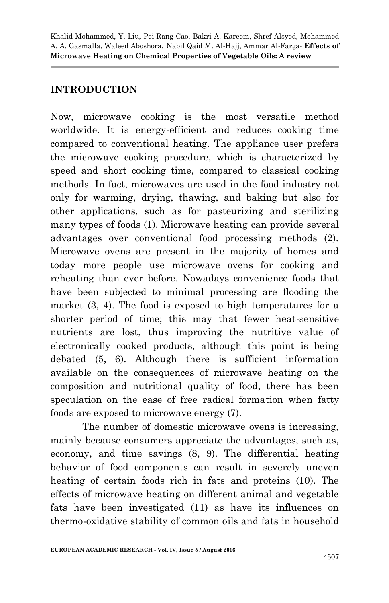### **INTRODUCTION**

Now, microwave cooking is the most versatile method worldwide. It is energy-efficient and reduces cooking time compared to conventional heating. The appliance user prefers the microwave cooking procedure, which is characterized by speed and short cooking time, compared to classical cooking methods. In fact, microwaves are used in the food industry not only for warming, drying, thawing, and baking but also for other applications, such as for pasteurizing and sterilizing many types of foods (1). Microwave heating can provide several advantages over conventional food processing methods (2). Microwave ovens are present in the majority of homes and today more people use microwave ovens for cooking and reheating than ever before. Nowadays convenience foods that have been subjected to minimal processing are flooding the market (3, 4). The food is exposed to high temperatures for a shorter period of time; this may that fewer heat-sensitive nutrients are lost, thus improving the nutritive value of electronically cooked products, although this point is being debated (5, 6). Although there is sufficient information available on the consequences of microwave heating on the composition and nutritional quality of food, there has been speculation on the ease of free radical formation when fatty foods are exposed to microwave energy (7).

The number of domestic microwave ovens is increasing, mainly because consumers appreciate the advantages, such as, economy, and time savings (8, 9). The differential heating behavior of food components can result in severely uneven heating of certain foods rich in fats and proteins (10). The effects of microwave heating on different animal and vegetable fats have been investigated (11) as have its influences on thermo-oxidative stability of common oils and fats in household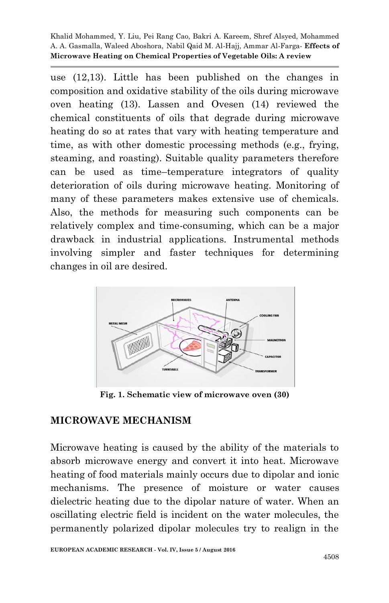use (12,13). Little has been published on the changes in composition and oxidative stability of the oils during microwave oven heating (13). Lassen and Ovesen (14) reviewed the chemical constituents of oils that degrade during microwave heating do so at rates that vary with heating temperature and time, as with other domestic processing methods (e.g., frying, steaming, and roasting). Suitable quality parameters therefore can be used as time–temperature integrators of quality deterioration of oils during microwave heating. Monitoring of many of these parameters makes extensive use of chemicals. Also, the methods for measuring such components can be relatively complex and time-consuming, which can be a major drawback in industrial applications. Instrumental methods involving simpler and faster techniques for determining changes in oil are desired.



**Fig. 1. Schematic view of microwave oven (30)**

#### **MICROWAVE MECHANISM**

Microwave heating is caused by the ability of the materials to absorb microwave energy and convert it into heat. Microwave heating of food materials mainly occurs due to dipolar and ionic mechanisms. The presence of moisture or water causes dielectric heating due to the dipolar nature of water. When an oscillating electric field is incident on the water molecules, the permanently polarized dipolar molecules try to realign in the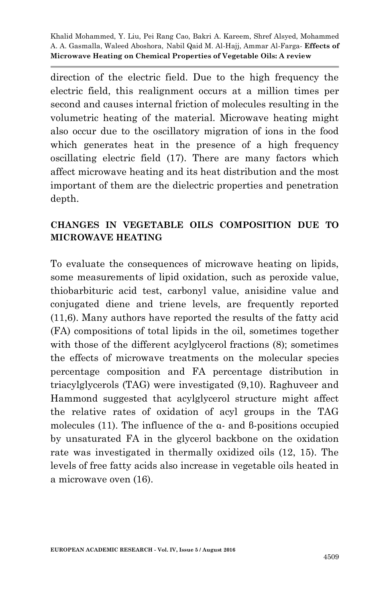direction of the electric field. Due to the high frequency the electric field, this realignment occurs at a million times per second and causes internal friction of molecules resulting in the volumetric heating of the material. Microwave heating might also occur due to the oscillatory migration of ions in the food which generates heat in the presence of a high frequency oscillating electric field (17). There are many factors which affect microwave heating and its heat distribution and the most important of them are the dielectric properties and penetration depth.

### **CHANGES IN VEGETABLE OILS COMPOSITION DUE TO MICROWAVE HEATING**

To evaluate the consequences of microwave heating on lipids, some measurements of lipid oxidation, such as peroxide value, thiobarbituric acid test, carbonyl value, anisidine value and conjugated diene and triene levels, are frequently reported (11,6). Many authors have reported the results of the fatty acid (FA) compositions of total lipids in the oil, sometimes together with those of the different acylglycerol fractions  $(8)$ ; sometimes the effects of microwave treatments on the molecular species percentage composition and FA percentage distribution in triacylglycerols (TAG) were investigated (9,10). Raghuveer and Hammond suggested that acylglycerol structure might affect the relative rates of oxidation of acyl groups in the TAG molecules (11). The influence of the α- and β-positions occupied by unsaturated FA in the glycerol backbone on the oxidation rate was investigated in thermally oxidized oils (12, 15). The levels of free fatty acids also increase in vegetable oils heated in a microwave oven (16).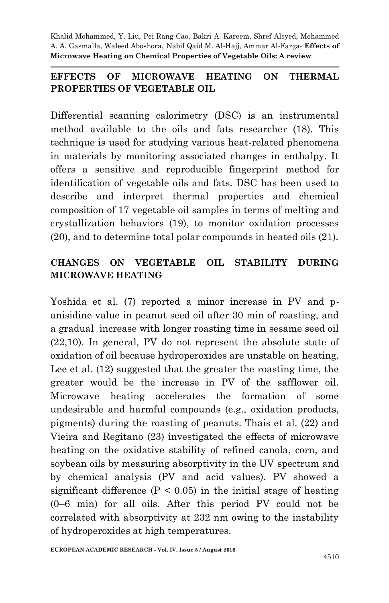#### **EFFECTS OF MICROWAVE HEATING ON THERMAL PROPERTIES OF VEGETABLE OIL**

Differential scanning calorimetry (DSC) is an instrumental method available to the oils and fats researcher (18). This technique is used for studying various heat-related phenomena in materials by monitoring associated changes in enthalpy. It offers a sensitive and reproducible fingerprint method for identification of vegetable oils and fats. DSC has been used to describe and interpret thermal properties and chemical composition of 17 vegetable oil samples in terms of melting and crystallization behaviors (19), to monitor oxidation processes (20), and to determine total polar compounds in heated oils (21).

#### **CHANGES ON VEGETABLE OIL STABILITY DURING MICROWAVE HEATING**

Yoshida et al. (7) reported a minor increase in PV and panisidine value in peanut seed oil after 30 min of roasting, and a gradual increase with longer roasting time in sesame seed oil (22,10). In general, PV do not represent the absolute state of oxidation of oil because hydroperoxides are unstable on heating. Lee et al. (12) suggested that the greater the roasting time, the greater would be the increase in PV of the safflower oil. Microwave heating accelerates the formation of some undesirable and harmful compounds (e.g., oxidation products, pigments) during the roasting of peanuts. Thais et al. (22) and Vieira and Regitano (23) investigated the effects of microwave heating on the oxidative stability of refined canola, corn, and soybean oils by measuring absorptivity in the UV spectrum and by chemical analysis (PV and acid values). PV showed a significant difference  $(P < 0.05)$  in the initial stage of heating (0–6 min) for all oils. After this period PV could not be correlated with absorptivity at 232 nm owing to the instability of hydroperoxides at high temperatures.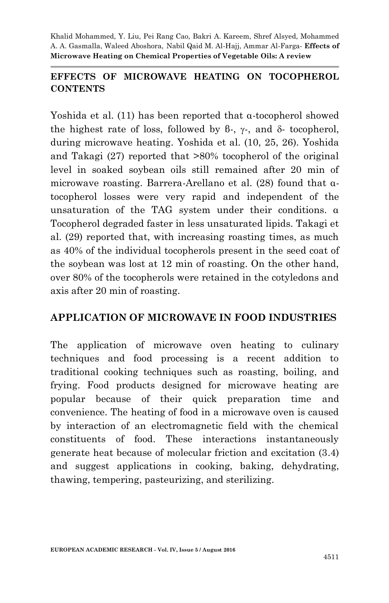#### **EFFECTS OF MICROWAVE HEATING ON TOCOPHEROL CONTENTS**

Yoshida et al. (11) has been reported that α-tocopherol showed the highest rate of loss, followed by  $\beta$ -,  $\gamma$ -, and  $\delta$ - tocopherol, during microwave heating. Yoshida et al. (10, 25, 26). Yoshida and Takagi (27) reported that >80% tocopherol of the original level in soaked soybean oils still remained after 20 min of microwave roasting. Barrera-Arellano et al. (28) found that αtocopherol losses were very rapid and independent of the unsaturation of the TAG system under their conditions. α Tocopherol degraded faster in less unsaturated lipids. Takagi et al. (29) reported that, with increasing roasting times, as much as 40% of the individual tocopherols present in the seed coat of the soybean was lost at 12 min of roasting. On the other hand, over 80% of the tocopherols were retained in the cotyledons and axis after 20 min of roasting.

#### **APPLICATION OF MICROWAVE IN FOOD INDUSTRIES**

The application of microwave oven heating to culinary techniques and food processing is a recent addition to traditional cooking techniques such as roasting, boiling, and frying. Food products designed for microwave heating are popular because of their quick preparation time and convenience. The heating of food in a microwave oven is caused by interaction of an electromagnetic field with the chemical constituents of food. These interactions instantaneously generate heat because of molecular friction and excitation (3.4) and suggest applications in cooking, baking, dehydrating, thawing, tempering, pasteurizing, and sterilizing.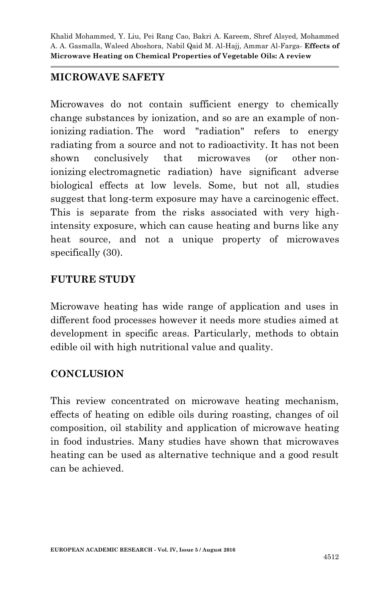#### **MICROWAVE SAFETY**

Microwaves do not contain sufficient energy to chemically change substances by ionization, and so are an example of nonionizing radiation. The word "radiation" refers to energy radiating from a source and not to radioactivity. It has not been shown conclusively that microwaves (or other nonionizing electromagnetic radiation) have significant adverse biological effects at low levels. Some, but not all, studies suggest that long-term exposure may have a carcinogenic effect. This is separate from the risks associated with very highintensity exposure, which can cause heating and burns like any heat source, and not a unique property of microwaves specifically  $(30)$ .

#### **FUTURE STUDY**

Microwave heating has wide range of application and uses in different food processes however it needs more studies aimed at development in specific areas. Particularly, methods to obtain edible oil with high nutritional value and quality.

## **CONCLUSION**

This review concentrated on microwave heating mechanism, effects of heating on edible oils during roasting, changes of oil composition, oil stability and application of microwave heating in food industries. Many studies have shown that microwaves heating can be used as alternative technique and a good result can be achieved.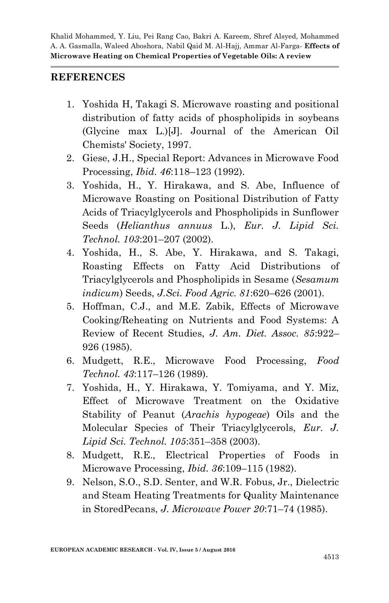#### **REFERENCES**

- 1. Yoshida H, Takagi S. Microwave roasting and positional distribution of fatty acids of phospholipids in soybeans (Glycine max L.)[J]. Journal of the American Oil Chemists' Society, 1997.
- 2. Giese, J.H., Special Report: Advances in Microwave Food Processing, *Ibid. 46*:118–123 (1992).
- 3. Yoshida, H., Y. Hirakawa, and S. Abe, Influence of Microwave Roasting on Positional Distribution of Fatty Acids of Triacylglycerols and Phospholipids in Sunflower Seeds (*Helianthus annuus* L.), *Eur. J. Lipid Sci. Technol. 103*:201–207 (2002).
- 4. Yoshida, H., S. Abe, Y. Hirakawa, and S. Takagi, Roasting Effects on Fatty Acid Distributions of Triacylglycerols and Phospholipids in Sesame (*Sesamum indicum*) Seeds, *J.Sci. Food Agric. 81*:620–626 (2001).
- 5. Hoffman, C.J., and M.E. Zabik, Effects of Microwave Cooking/Reheating on Nutrients and Food Systems: A Review of Recent Studies, *J. Am. Diet. Assoc. 85*:922– 926 (1985).
- 6. Mudgett, R.E., Microwave Food Processing, *Food Technol. 43*:117–126 (1989).
- 7. Yoshida, H., Y. Hirakawa, Y. Tomiyama, and Y. Miz, Effect of Microwave Treatment on the Oxidative Stability of Peanut (*Arachis hypogeae*) Oils and the Molecular Species of Their Triacylglycerols, *Eur. J. Lipid Sci. Technol. 105*:351–358 (2003).
- 8. Mudgett, R.E., Electrical Properties of Foods in Microwave Processing, *Ibid. 36*:109–115 (1982).
- 9. Nelson, S.O., S.D. Senter, and W.R. Fobus, Jr., Dielectric and Steam Heating Treatments for Quality Maintenance in StoredPecans, *J. Microwave Power 20*:71–74 (1985).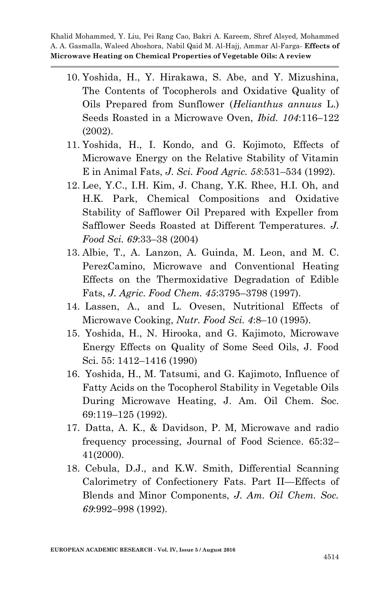- 10. Yoshida, H., Y. Hirakawa, S. Abe, and Y. Mizushina, The Contents of Tocopherols and Oxidative Quality of Oils Prepared from Sunflower (*Helianthus annuus* L.) Seeds Roasted in a Microwave Oven, *Ibid. 104*:116–122 (2002).
- 11. Yoshida, H., I. Kondo, and G. Kojimoto, Effects of Microwave Energy on the Relative Stability of Vitamin E in Animal Fats, *J. Sci. Food Agric. 58*:531–534 (1992).
- 12. Lee, Y.C., I.H. Kim, J. Chang, Y.K. Rhee, H.I. Oh, and H.K. Park, Chemical Compositions and Oxidative Stability of Safflower Oil Prepared with Expeller from Safflower Seeds Roasted at Different Temperatures. *J. Food Sci. 69*:33–38 (2004)
- 13. Albie, T., A. Lanzon, A. Guinda, M. Leon, and M. C. PerezCamino, Microwave and Conventional Heating Effects on the Thermoxidative Degradation of Edible Fats, *J. Agric. Food Chem. 45*:3795–3798 (1997).
- 14. Lassen, A., and L. Ovesen, Nutritional Effects of Microwave Cooking, *Nutr. Food Sci. 4*:8–10 (1995).
- 15. Yoshida, H., N. Hirooka, and G. Kajimoto, Microwave Energy Effects on Quality of Some Seed Oils, J. Food Sci. 55: 1412–1416 (1990)
- 16. Yoshida, H., M. Tatsumi, and G. Kajimoto, Influence of Fatty Acids on the Tocopherol Stability in Vegetable Oils During Microwave Heating, J. Am. Oil Chem. Soc. 69:119–125 (1992).
- 17. Datta, A. K., & Davidson, P. M, Microwave and radio frequency processing, Journal of Food Science. 65:32– 41(2000).
- 18. Cebula, D.J., and K.W. Smith, Differential Scanning Calorimetry of Confectionery Fats. Part II—Effects of Blends and Minor Components, *J. Am. Oil Chem. Soc. 69*:992–998 (1992).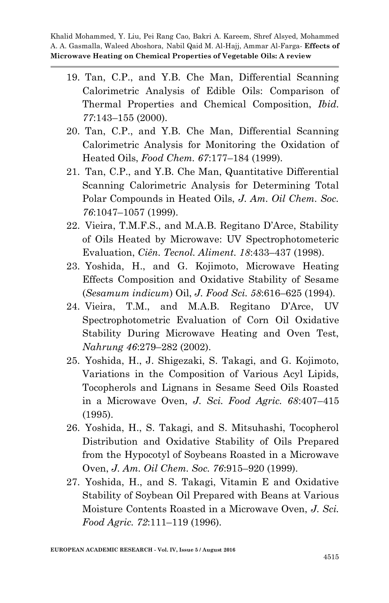- 19. Tan, C.P., and Y.B. Che Man, Differential Scanning Calorimetric Analysis of Edible Oils: Comparison of Thermal Properties and Chemical Composition, *Ibid. 77*:143–155 (2000).
- 20. Tan, C.P., and Y.B. Che Man, Differential Scanning Calorimetric Analysis for Monitoring the Oxidation of Heated Oils, *Food Chem. 67*:177–184 (1999).
- 21. Tan, C.P., and Y.B. Che Man, Quantitative Differential Scanning Calorimetric Analysis for Determining Total Polar Compounds in Heated Oils, *J. Am. Oil Chem. Soc. 76*:1047–1057 (1999).
- 22. Vieira, T.M.F.S., and M.A.B. Regitano D'Arce, Stability of Oils Heated by Microwave: UV Spectrophotometeric Evaluation, *Ciên. Tecnol. Aliment. 18*:433–437 (1998).
- 23. Yoshida, H., and G. Kojimoto, Microwave Heating Effects Composition and Oxidative Stability of Sesame (*Sesamum indicum*) Oil, *J. Food Sci. 58*:616–625 (1994).
- 24. Vieira, T.M., and M.A.B. Regitano D'Arce, UV Spectrophotometric Evaluation of Corn Oil Oxidative Stability During Microwave Heating and Oven Test, *Nahrung 46*:279–282 (2002).
- 25. Yoshida, H., J. Shigezaki, S. Takagi, and G. Kojimoto, Variations in the Composition of Various Acyl Lipids, Tocopherols and Lignans in Sesame Seed Oils Roasted in a Microwave Oven, *J. Sci. Food Agric. 68*:407–415 (1995).
- 26. Yoshida, H., S. Takagi, and S. Mitsuhashi, Tocopherol Distribution and Oxidative Stability of Oils Prepared from the Hypocotyl of Soybeans Roasted in a Microwave Oven, *J. Am. Oil Chem. Soc. 76*:915–920 (1999).
- 27. Yoshida, H., and S. Takagi, Vitamin E and Oxidative Stability of Soybean Oil Prepared with Beans at Various Moisture Contents Roasted in a Microwave Oven, *J. Sci. Food Agric. 72*:111–119 (1996).